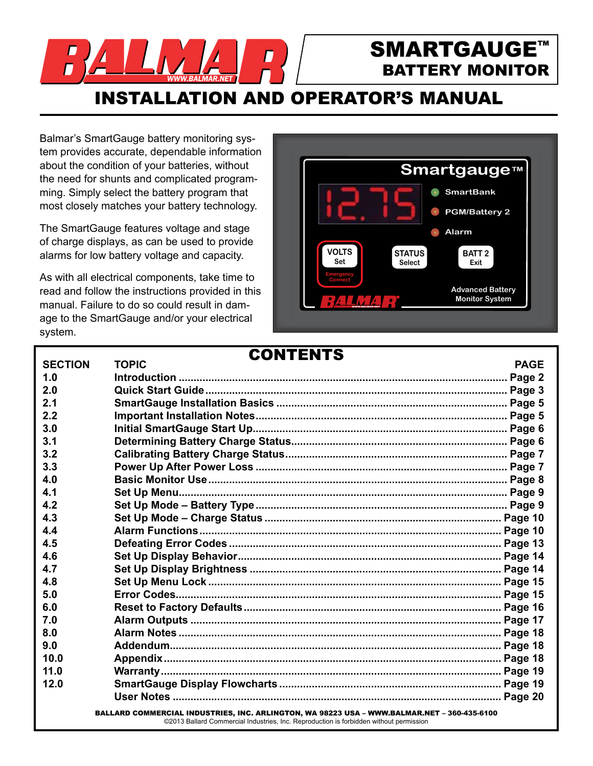

# SMARTGAUGE™ BATTERY MONITOR

INSTALLATION AND OPERATOR'S MANUAL

Balmar's SmartGauge battery monitoring system provides accurate, dependable information about the condition of your batteries, without the need for shunts and complicated programming. Simply select the battery program that most closely matches your battery technology.

The SmartGauge features voltage and stage of charge displays, as can be used to provide alarms for low battery voltage and capacity.

As with all electrical components, take time to read and follow the instructions provided in this manual. Failure to do so could result in damage to the SmartGauge and/or your electrical system.



# **SECTION TOPIC PAGE 1.0 Introduction ............................................................................................................... Page 2 2.0 Quick Start Guide...................................................................................................... Page 3 2.1 SmartGauge Installation Basics .............................................................................. Page 5 2.2 Important Installation Notes..................................................................................... Page 5 3.0 Initial SmartGauge Start Up...................................................................................... Page 6 3.1 Determining Battery Charge Status......................................................................... Page 6 3.2 Calibrating Battery Charge Status........................................................................... Page 7 3.3 Power Up After Power Loss ..................................................................................... Page 7 4.0 Basic Monitor Use..................................................................................................... Page 8 4.1 Set Up Menu............................................................................................................... Page 9 4.2 Set Up Mode – Battery Type..................................................................................... Page 9 4.3 Set Up Mode – Charge Status ................................................................................ Page 10 4.4 Alarm Functions...................................................................................................... Page 10 4.5 Defeating Error Codes ............................................................................................ Page 13 4.6 Set Up Display Behavior......................................................................................... Page 14 4.7 Set Up Display Brightness ..................................................................................... Page 14 4.8 Set Up Menu Lock ................................................................................................... Page 15 5.0 Error Codes.............................................................................................................. Page 15 6.0 Reset to Factory Defaults....................................................................................... Page 16 7.0 Alarm Outputs ......................................................................................................... Page 17 8.0 Alarm Notes ............................................................................................................. Page 18 9.0 Addendum................................................................................................................ Page 18 10.0 Appendix.................................................................................................................. Page 18 11.0 Warranty................................................................................................................... Page 19 12.0 SmartGauge Display Flowcharts ........................................................................... Page 19 User Notes ............................................................................................................... Page 20** CONTENTS

BALLARD COMMERCIAL INDUSTRIES, INC. ARLINGTON, WA 98223 USA – WWW.BALMAR.NET – 360-435-6100 ©2013 Ballard Commercial Industries, Inc. Reproduction is forbidden without permission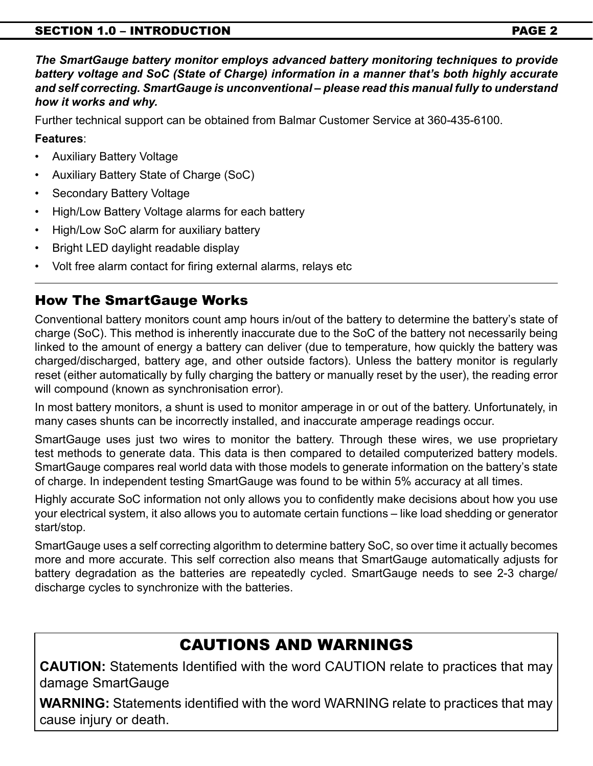# SECTION 1.0 – INTRODUCTION PAGE 2

*The SmartGauge battery monitor employs advanced battery monitoring techniques to provide battery voltage and SoC (State of Charge) information in a manner that's both highly accurate and self correcting. SmartGauge is unconventional – please read this manual fully to understand how it works and why.*

Further technical support can be obtained from Balmar Customer Service at 360-435-6100.

# **Features**:

- **Auxiliary Battery Voltage**
- Auxiliary Battery State of Charge (SoC)
- Secondary Battery Voltage
- High/Low Battery Voltage alarms for each battery
- High/Low SoC alarm for auxiliary battery
- Bright LED daylight readable display
- Volt free alarm contact for firing external alarms, relays etc

# How The SmartGauge Works

Conventional battery monitors count amp hours in/out of the battery to determine the battery's state of charge (SoC). This method is inherently inaccurate due to the SoC of the battery not necessarily being linked to the amount of energy a battery can deliver (due to temperature, how quickly the battery was charged/discharged, battery age, and other outside factors). Unless the battery monitor is regularly reset (either automatically by fully charging the battery or manually reset by the user), the reading error will compound (known as synchronisation error).

In most battery monitors, a shunt is used to monitor amperage in or out of the battery. Unfortunately, in many cases shunts can be incorrectly installed, and inaccurate amperage readings occur.

SmartGauge uses just two wires to monitor the battery. Through these wires, we use proprietary test methods to generate data. This data is then compared to detailed computerized battery models. SmartGauge compares real world data with those models to generate information on the battery's state of charge. In independent testing SmartGauge was found to be within 5% accuracy at all times.

Highly accurate SoC information not only allows you to confidently make decisions about how you use your electrical system, it also allows you to automate certain functions – like load shedding or generator start/stop.

SmartGauge uses a self correcting algorithm to determine battery SoC, so over time it actually becomes more and more accurate. This self correction also means that SmartGauge automatically adjusts for battery degradation as the batteries are repeatedly cycled. SmartGauge needs to see 2-3 charge/ discharge cycles to synchronize with the batteries.

# CAUTIONS AND WARNINGS

**CAUTION:** Statements Identified with the word CAUTION relate to practices that may damage SmartGauge

**WARNING:** Statements identified with the word WARNING relate to practices that may cause injury or death.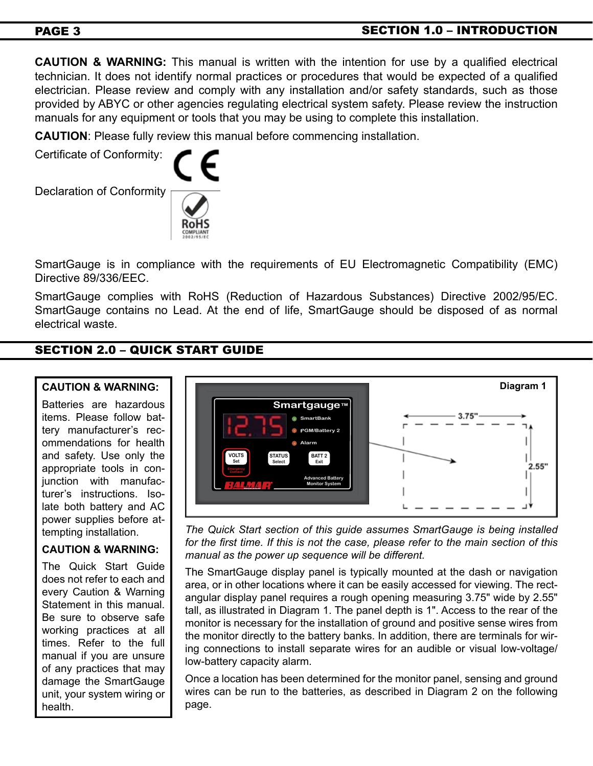# PAGE 3 SECTION 1.0 – INTRODUCTION

**CAUTION & WARNING:** This manual is written with the intention for use by a qualified electrical technician. It does not identify normal practices or procedures that would be expected of a qualified electrician. Please review and comply with any installation and/or safety standards, such as those provided by ABYC or other agencies regulating electrical system safety. Please review the instruction manuals for any equipment or tools that you may be using to complete this installation.

**CAUTION**: Please fully review this manual before commencing installation.

Certificate of Conformity:

Declaration of Conformity



SmartGauge is in compliance with the requirements of EU Electromagnetic Compatibility (EMC) Directive 89/336/EEC.

SmartGauge complies with RoHS (Reduction of Hazardous Substances) Directive 2002/95/EC. SmartGauge contains no Lead. At the end of life, SmartGauge should be disposed of as normal electrical waste.

# SECTION 2.0 – QUICK START GUIDE

# **CAUTION & WARNING:**

Batteries are hazardous items. Please follow battery manufacturer's recommendations for health and safety. Use only the appropriate tools in conjunction with manufacturer's instructions. Isolate both battery and AC power supplies before attempting installation.

# **CAUTION & WARNING:**

The Quick Start Guide does not refer to each and every Caution & Warning Statement in this manual. Be sure to observe safe working practices at all times. Refer to the full manual if you are unsure of any practices that may damage the SmartGauge unit, your system wiring or health.



*The Quick Start section of this guide assumes SmartGauge is being installed for the first time. If this is not the case, please refer to the main section of this manual as the power up sequence will be different.*

The SmartGauge display panel is typically mounted at the dash or navigation area, or in other locations where it can be easily accessed for viewing. The rectangular display panel requires a rough opening measuring 3.75" wide by 2.55" tall, as illustrated in Diagram 1. The panel depth is 1". Access to the rear of the monitor is necessary for the installation of ground and positive sense wires from the monitor directly to the battery banks. In addition, there are terminals for wiring connections to install separate wires for an audible or visual low-voltage/ low-battery capacity alarm.

Once a location has been determined for the monitor panel, sensing and ground wires can be run to the batteries, as described in Diagram 2 on the following page.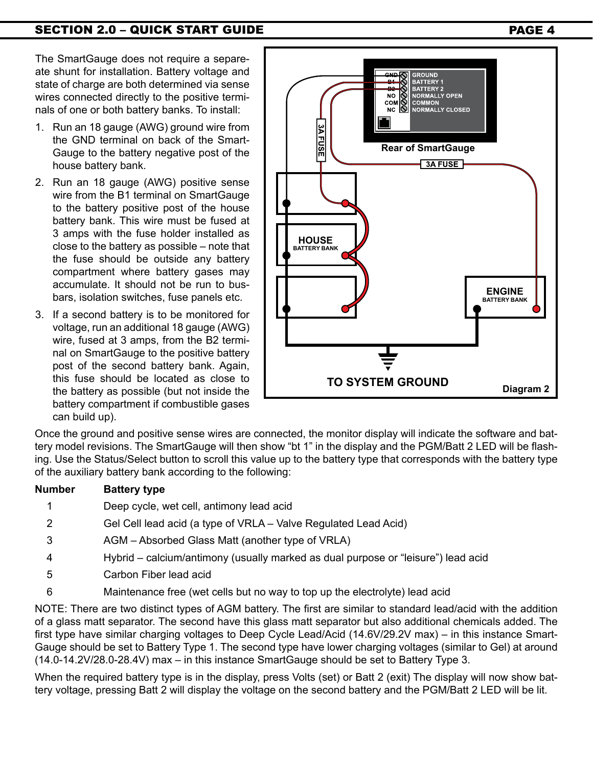The SmartGauge does not require a separeate shunt for installation. Battery voltage and state of charge are both determined via sense wires connected directly to the positive terminals of one or both battery banks. To install:

- 1. Run an 18 gauge (AWG) ground wire from the GND terminal on back of the Smart-Gauge to the battery negative post of the house battery bank.
- 2. Run an 18 gauge (AWG) positive sense wire from the B1 terminal on SmartGauge to the battery positive post of the house battery bank. This wire must be fused at 3 amps with the fuse holder installed as close to the battery as possible – note that the fuse should be outside any battery compartment where battery gases may accumulate. It should not be run to busbars, isolation switches, fuse panels etc.
- 3. If a second battery is to be monitored for voltage, run an additional 18 gauge (AWG) wire, fused at 3 amps, from the B2 terminal on SmartGauge to the positive battery post of the second battery bank. Again, this fuse should be located as close to the battery as possible (but not inside the battery compartment if combustible gases can build up).



NO OOK NORMALLY CLOSED 3A FUSE **Rear of SmartGauge** $\sqrt{3A$  FUSE **ENGINE BATTERY BANK TO SYSTEM GROUND Diagram 2**

**BATTERY1 BATTERY 2**<br>NORMALLY OPEN

**COMMON** 

Once the ground and positive sense wires are connected, the monitor display will indicate the software and battery model revisions. The SmartGauge will then show "bt 1" in the display and the PGM/Batt 2 LED will be flashing. Use the Status/Select button to scroll this value up to the battery type that corresponds with the battery type of the auxiliary battery bank according to the following:

# **Number Battery type**

- 1 Deep cycle, wet cell, antimony lead acid
- 2 Gel Cell lead acid (a type of VRLA Valve Regulated Lead Acid)
- 3 AGM Absorbed Glass Matt (another type of VRLA)
- 4 Hybrid calcium/antimony (usually marked as dual purpose or "leisure") lead acid
- 5 Carbon Fiber lead acid
- 6 Maintenance free (wet cells but no way to top up the electrolyte) lead acid

NOTE: There are two distinct types of AGM battery. The first are similar to standard lead/acid with the addition of a glass matt separator. The second have this glass matt separator but also additional chemicals added. The first type have similar charging voltages to Deep Cycle Lead/Acid (14.6V/29.2V max) – in this instance Smart-Gauge should be set to Battery Type 1. The second type have lower charging voltages (similar to Gel) at around (14.0-14.2V/28.0-28.4V) max – in this instance SmartGauge should be set to Battery Type 3.

When the required battery type is in the display, press Volts (set) or Batt 2 (exit) The display will now show battery voltage, pressing Batt 2 will display the voltage on the second battery and the PGM/Batt 2 LED will be lit.

# SECTION 2.0 – QUICK START GUIDE PAGE 4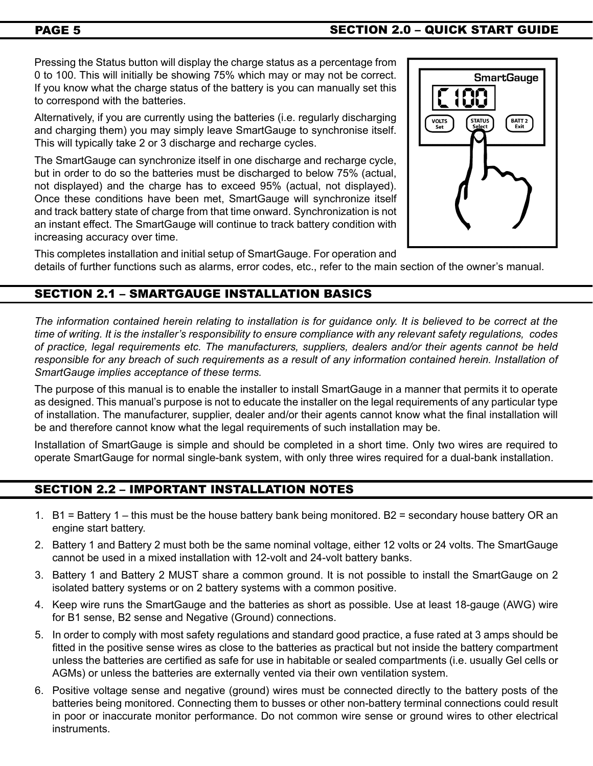# PAGE 5 SECTION 2.0 – QUICK START GUIDE

Pressing the Status button will display the charge status as a percentage from 0 to 100. This will initially be showing 75% which may or may not be correct. If you know what the charge status of the battery is you can manually set this to correspond with the batteries.

Alternatively, if you are currently using the batteries (i.e. regularly discharging and charging them) you may simply leave SmartGauge to synchronise itself. This will typically take 2 or 3 discharge and recharge cycles.

The SmartGauge can synchronize itself in one discharge and recharge cycle, but in order to do so the batteries must be discharged to below 75% (actual, not displayed) and the charge has to exceed 95% (actual, not displayed). Once these conditions have been met, SmartGauge will synchronize itself and track battery state of charge from that time onward. Synchronization is not an instant effect. The SmartGauge will continue to track battery condition with increasing accuracy over time.



This completes installation and initial setup of SmartGauge. For operation and details of further functions such as alarms, error codes, etc., refer to the main section of the owner's manual.

# SECTION 2.1 – SMARTGAUGE INSTALLATION BASICS

*The information contained herein relating to installation is for guidance only. It is believed to be correct at the time of writing. It is the installer's responsibility to ensure compliance with any relevant safety regulations, codes of practice, legal requirements etc. The manufacturers, suppliers, dealers and/or their agents cannot be held*  responsible for any breach of such requirements as a result of any information contained herein. Installation of *SmartGauge implies acceptance of these terms.*

The purpose of this manual is to enable the installer to install SmartGauge in a manner that permits it to operate as designed. This manual's purpose is not to educate the installer on the legal requirements of any particular type of installation. The manufacturer, supplier, dealer and/or their agents cannot know what the final installation will be and therefore cannot know what the legal requirements of such installation may be.

Installation of SmartGauge is simple and should be completed in a short time. Only two wires are required to operate SmartGauge for normal single-bank system, with only three wires required for a dual-bank installation.

# SECTION 2.2 – IMPORTANT INSTALLATION NOTES

- 1. B1 = Battery 1 this must be the house battery bank being monitored. B2 = secondary house battery OR an engine start battery.
- 2. Battery 1 and Battery 2 must both be the same nominal voltage, either 12 volts or 24 volts. The SmartGauge cannot be used in a mixed installation with 12-volt and 24-volt battery banks.
- 3. Battery 1 and Battery 2 MUST share a common ground. It is not possible to install the SmartGauge on 2 isolated battery systems or on 2 battery systems with a common positive.
- 4. Keep wire runs the SmartGauge and the batteries as short as possible. Use at least 18-gauge (AWG) wire for B1 sense, B2 sense and Negative (Ground) connections.
- 5. In order to comply with most safety regulations and standard good practice, a fuse rated at 3 amps should be fitted in the positive sense wires as close to the batteries as practical but not inside the battery compartment unless the batteries are certified as safe for use in habitable or sealed compartments (i.e. usually Gel cells or AGMs) or unless the batteries are externally vented via their own ventilation system.
- 6. Positive voltage sense and negative (ground) wires must be connected directly to the battery posts of the batteries being monitored. Connecting them to busses or other non-battery terminal connections could result in poor or inaccurate monitor performance. Do not common wire sense or ground wires to other electrical instruments.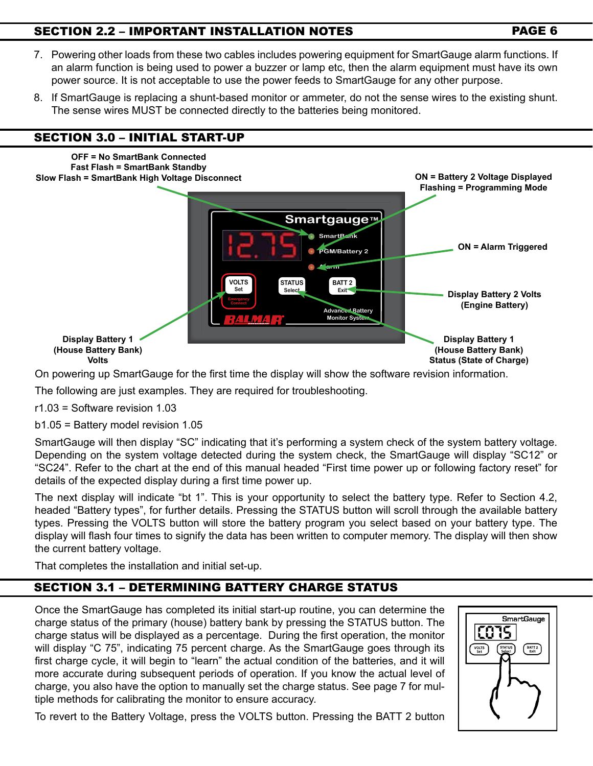# SECTION 2.2 – IMPORTANT INSTALLATION NOTES PAGE 6

- 7. Powering other loads from these two cables includes powering equipment for SmartGauge alarm functions. If an alarm function is being used to power a buzzer or lamp etc, then the alarm equipment must have its own power source. It is not acceptable to use the power feeds to SmartGauge for any other purpose.
- 8. If SmartGauge is replacing a shunt-based monitor or ammeter, do not the sense wires to the existing shunt. The sense wires MUST be connected directly to the batteries being monitored.

# SECTION 3.0 – INITIAL START-UP



On powering up SmartGauge for the first time the display will show the software revision information.

The following are just examples. They are required for troubleshooting.

r1.03 = Software revision 1.03

b1.05 = Battery model revision 1.05

SmartGauge will then display "SC" indicating that it's performing a system check of the system battery voltage. Depending on the system voltage detected during the system check, the SmartGauge will display "SC12" or "SC24". Refer to the chart at the end of this manual headed "First time power up or following factory reset" for details of the expected display during a first time power up.

The next display will indicate "bt 1". This is your opportunity to select the battery type. Refer to Section 4.2, headed "Battery types", for further details. Pressing the STATUS button will scroll through the available battery types. Pressing the VOLTS button will store the battery program you select based on your battery type. The display will flash four times to signify the data has been written to computer memory. The display will then show the current battery voltage.

That completes the installation and initial set-up.

# SECTION 3.1 – DETERMINING BATTERY CHARGE STATUS

Once the SmartGauge has completed its initial start-up routine, you can determine the charge status of the primary (house) battery bank by pressing the STATUS button. The charge status will be displayed as a percentage. During the first operation, the monitor will display "C 75", indicating 75 percent charge. As the SmartGauge goes through its first charge cycle, it will begin to "learn" the actual condition of the batteries, and it will more accurate during subsequent periods of operation. If you know the actual level of charge, you also have the option to manually set the charge status. See page 7 for multiple methods for calibrating the monitor to ensure accuracy.



To revert to the Battery Voltage, press the VOLTS button. Pressing the BATT 2 button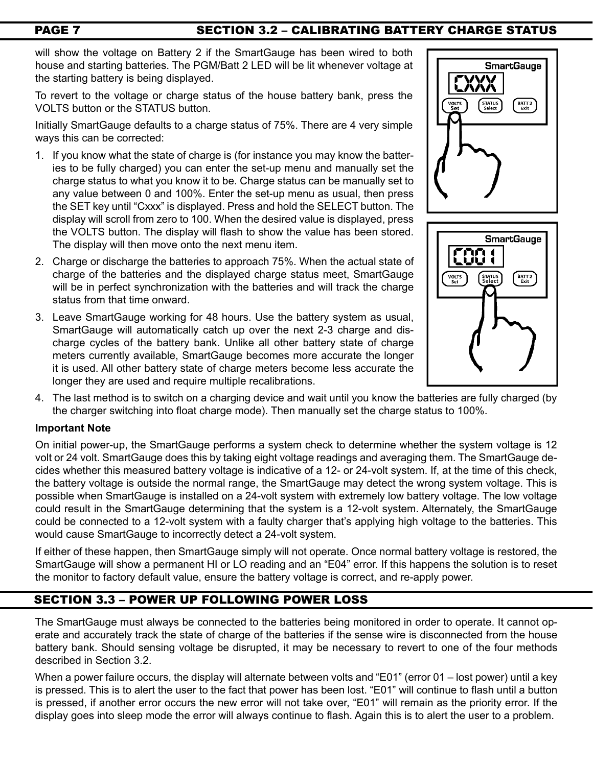# PAGE 7 SECTION 3.2 - CALIBRATING BATTERY CHARGE STATUS

will show the voltage on Battery 2 if the SmartGauge has been wired to both house and starting batteries. The PGM/Batt 2 LED will be lit whenever voltage at the starting battery is being displayed.

To revert to the voltage or charge status of the house battery bank, press the VOLTS button or the STATUS button.

Initially SmartGauge defaults to a charge status of 75%. There are 4 very simple ways this can be corrected:

- 1. If you know what the state of charge is (for instance you may know the batteries to be fully charged) you can enter the set-up menu and manually set the charge status to what you know it to be. Charge status can be manually set to any value between 0 and 100%. Enter the set-up menu as usual, then press the SET key until "Cxxx" is displayed. Press and hold the SELECT button. The display will scroll from zero to 100. When the desired value is displayed, press the VOLTS button. The display will flash to show the value has been stored. The display will then move onto the next menu item.
- 2. Charge or discharge the batteries to approach 75%. When the actual state of charge of the batteries and the displayed charge status meet, SmartGauge will be in perfect synchronization with the batteries and will track the charge status from that time onward.
- 3. Leave SmartGauge working for 48 hours. Use the battery system as usual, SmartGauge will automatically catch up over the next 2-3 charge and discharge cycles of the battery bank. Unlike all other battery state of charge meters currently available, SmartGauge becomes more accurate the longer it is used. All other battery state of charge meters become less accurate the longer they are used and require multiple recalibrations.





4. The last method is to switch on a charging device and wait until you know the batteries are fully charged (by the charger switching into float charge mode). Then manually set the charge status to 100%.

### **Important Note**

On initial power-up, the SmartGauge performs a system check to determine whether the system voltage is 12 volt or 24 volt. SmartGauge does this by taking eight voltage readings and averaging them. The SmartGauge decides whether this measured battery voltage is indicative of a 12- or 24-volt system. If, at the time of this check, the battery voltage is outside the normal range, the SmartGauge may detect the wrong system voltage. This is possible when SmartGauge is installed on a 24-volt system with extremely low battery voltage. The low voltage could result in the SmartGauge determining that the system is a 12-volt system. Alternately, the SmartGauge could be connected to a 12-volt system with a faulty charger that's applying high voltage to the batteries. This would cause SmartGauge to incorrectly detect a 24-volt system.

If either of these happen, then SmartGauge simply will not operate. Once normal battery voltage is restored, the SmartGauge will show a permanent HI or LO reading and an "E04" error. If this happens the solution is to reset the monitor to factory default value, ensure the battery voltage is correct, and re-apply power.

# SECTION 3.3 – Power Up Following Power Loss

The SmartGauge must always be connected to the batteries being monitored in order to operate. It cannot operate and accurately track the state of charge of the batteries if the sense wire is disconnected from the house battery bank. Should sensing voltage be disrupted, it may be necessary to revert to one of the four methods described in Section 3.2.

When a power failure occurs, the display will alternate between volts and "E01" (error 01 – lost power) until a key is pressed. This is to alert the user to the fact that power has been lost. "E01" will continue to flash until a button is pressed, if another error occurs the new error will not take over, "E01" will remain as the priority error. If the display goes into sleep mode the error will always continue to flash. Again this is to alert the user to a problem.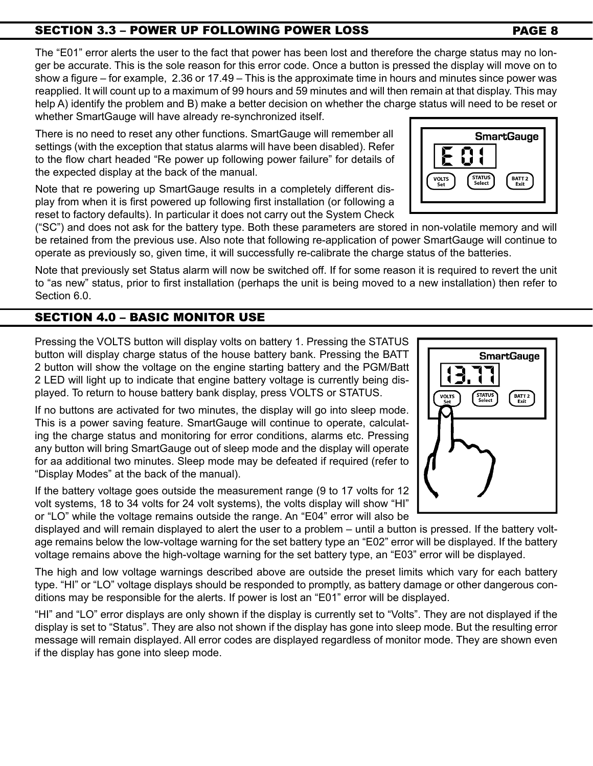# SECTION 3.3 – Power Up Following Power Loss PAGE 8

The "E01" error alerts the user to the fact that power has been lost and therefore the charge status may no longer be accurate. This is the sole reason for this error code. Once a button is pressed the display will move on to show a figure – for example, 2.36 or 17.49 – This is the approximate time in hours and minutes since power was reapplied. It will count up to a maximum of 99 hours and 59 minutes and will then remain at that display. This may help A) identify the problem and B) make a better decision on whether the charge status will need to be reset or whether SmartGauge will have already re-synchronized itself.

There is no need to reset any other functions. SmartGauge will remember all settings (with the exception that status alarms will have been disabled). Refer to the flow chart headed "Re power up following power failure" for details of the expected display at the back of the manual.

Note that re powering up SmartGauge results in a completely different display from when it is first powered up following first installation (or following a reset to factory defaults). In particular it does not carry out the System Check

("SC") and does not ask for the battery type. Both these parameters are stored in non-volatile memory and will be retained from the previous use. Also note that following re-application of power SmartGauge will continue to operate as previously so, given time, it will successfully re-calibrate the charge status of the batteries.

Note that previously set Status alarm will now be switched off. If for some reason it is required to revert the unit to "as new" status, prior to first installation (perhaps the unit is being moved to a new installation) then refer to Section 6.0.

# SECTION 4.0 – Basic monitor use

Pressing the VOLTS button will display volts on battery 1. Pressing the STATUS button will display charge status of the house battery bank. Pressing the BATT 2 button will show the voltage on the engine starting battery and the PGM/Batt 2 LED will light up to indicate that engine battery voltage is currently being displayed. To return to house battery bank display, press VOLTS or STATUS.

If no buttons are activated for two minutes, the display will go into sleep mode. This is a power saving feature. SmartGauge will continue to operate, calculating the charge status and monitoring for error conditions, alarms etc. Pressing any button will bring SmartGauge out of sleep mode and the display will operate for aa additional two minutes. Sleep mode may be defeated if required (refer to "Display Modes" at the back of the manual).

If the battery voltage goes outside the measurement range (9 to 17 volts for 12 volt systems, 18 to 34 volts for 24 volt systems), the volts display will show "HI" or "LO" while the voltage remains outside the range. An "E04" error will also be

displayed and will remain displayed to alert the user to a problem – until a button is pressed. If the battery voltage remains below the low-voltage warning for the set battery type an "E02" error will be displayed. If the battery voltage remains above the high-voltage warning for the set battery type, an "E03" error will be displayed.

The high and low voltage warnings described above are outside the preset limits which vary for each battery type. "HI" or "LO" voltage displays should be responded to promptly, as battery damage or other dangerous conditions may be responsible for the alerts. If power is lost an "E01" error will be displayed.

"HI" and "LO" error displays are only shown if the display is currently set to "Volts". They are not displayed if the display is set to "Status". They are also not shown if the display has gone into sleep mode. But the resulting error message will remain displayed. All error codes are displayed regardless of monitor mode. They are shown even if the display has gone into sleep mode.

# **SmartGauge** BATT 2<br>Exit STATUS<br>Select VOLT

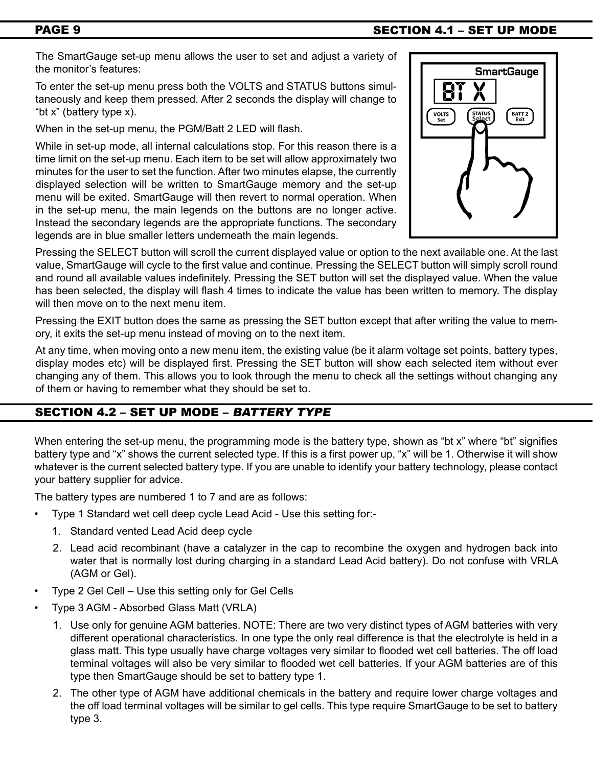# PAGE 9 SECTION 4.1 – SET UP MODE

The SmartGauge set-up menu allows the user to set and adjust a variety of the monitor's features:

To enter the set-up menu press both the VOLTS and STATUS buttons simultaneously and keep them pressed. After 2 seconds the display will change to "bt x" (battery type x).

When in the set-up menu, the PGM/Batt 2 LED will flash.

While in set-up mode, all internal calculations stop. For this reason there is a time limit on the set-up menu. Each item to be set will allow approximately two minutes for the user to set the function. After two minutes elapse, the currently displayed selection will be written to SmartGauge memory and the set-up menu will be exited. SmartGauge will then revert to normal operation. When in the set-up menu, the main legends on the buttons are no longer active. Instead the secondary legends are the appropriate functions. The secondary legends are in blue smaller letters underneath the main legends.



Pressing the SELECT button will scroll the current displayed value or option to the next available one. At the last value, SmartGauge will cycle to the first value and continue. Pressing the SELECT button will simply scroll round and round all available values indefinitely. Pressing the SET button will set the displayed value. When the value has been selected, the display will flash 4 times to indicate the value has been written to memory. The display will then move on to the next menu item.

Pressing the EXIT button does the same as pressing the SET button except that after writing the value to memory, it exits the set-up menu instead of moving on to the next item.

At any time, when moving onto a new menu item, the existing value (be it alarm voltage set points, battery types, display modes etc) will be displayed first. Pressing the SET button will show each selected item without ever changing any of them. This allows you to look through the menu to check all the settings without changing any of them or having to remember what they should be set to.

# SECTION 4.2 - SET UP MODE - BATTERY TYPE

When entering the set-up menu, the programming mode is the battery type, shown as "bt x" where "bt" signifies battery type and "x" shows the current selected type. If this is a first power up, "x" will be 1. Otherwise it will show whatever is the current selected battery type. If you are unable to identify your battery technology, please contact your battery supplier for advice.

The battery types are numbered 1 to 7 and are as follows:

- Type 1 Standard wet cell deep cycle Lead Acid Use this setting for:-
	- 1. Standard vented Lead Acid deep cycle
	- 2. Lead acid recombinant (have a catalyzer in the cap to recombine the oxygen and hydrogen back into water that is normally lost during charging in a standard Lead Acid battery). Do not confuse with VRLA (AGM or Gel).
- Type 2 Gel Cell Use this setting only for Gel Cells
- Type 3 AGM Absorbed Glass Matt (VRLA)
	- 1. Use only for genuine AGM batteries. NOTE: There are two very distinct types of AGM batteries with very different operational characteristics. In one type the only real difference is that the electrolyte is held in a glass matt. This type usually have charge voltages very similar to flooded wet cell batteries. The off load terminal voltages will also be very similar to flooded wet cell batteries. If your AGM batteries are of this type then SmartGauge should be set to battery type 1.
	- 2. The other type of AGM have additional chemicals in the battery and require lower charge voltages and the off load terminal voltages will be similar to gel cells. This type require SmartGauge to be set to battery type 3.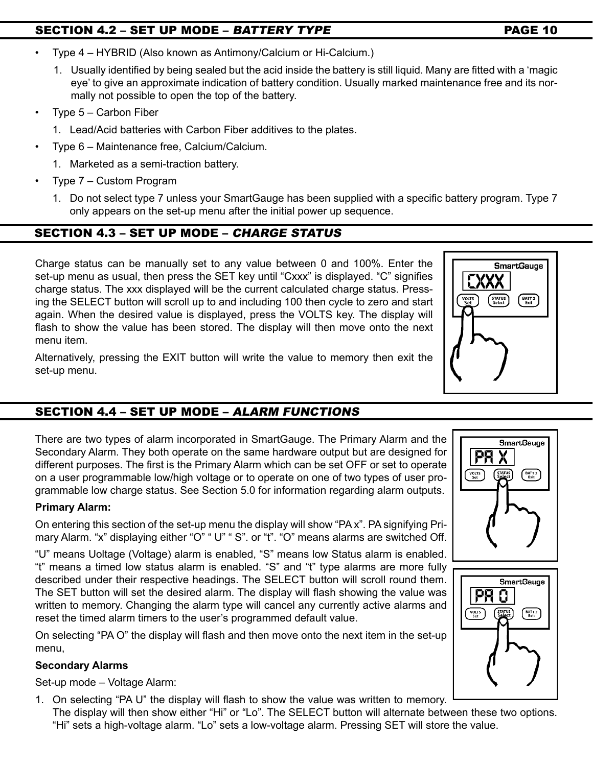# SECTION 4.2 – SET UP MODE – *battery type* PAGE 10

- Type 4 HYBRID (Also known as Antimony/Calcium or Hi-Calcium.)
	- 1. Usually identified by being sealed but the acid inside the battery is still liquid. Many are fitted with a 'magic eye' to give an approximate indication of battery condition. Usually marked maintenance free and its normally not possible to open the top of the battery.
- Type  $5 -$  Carbon Fiber
	- 1. Lead/Acid batteries with Carbon Fiber additives to the plates.
- Type 6 Maintenance free, Calcium/Calcium.
	- 1. Marketed as a semi-traction battery.
- Type  $7 -$  Custom Program
	- 1. Do not select type 7 unless your SmartGauge has been supplied with a specific battery program. Type 7 only appears on the set-up menu after the initial power up sequence.

# SECTION 4.3 – SET UP MODE – charge status

Charge status can be manually set to any value between 0 and 100%. Enter the set-up menu as usual, then press the SET key until "Cxxx" is displayed. "C" signifies charge status. The xxx displayed will be the current calculated charge status. Pressing the SELECT button will scroll up to and including 100 then cycle to zero and start again. When the desired value is displayed, press the VOLTS key. The display will flash to show the value has been stored. The display will then move onto the next menu item.

Alternatively, pressing the EXIT button will write the value to memory then exit the set-up menu.

# SECTION 4.4 – SET UP MODE – alarm functions

There are two types of alarm incorporated in SmartGauge. The Primary Alarm and the Secondary Alarm. They both operate on the same hardware output but are designed for different purposes. The first is the Primary Alarm which can be set OFF or set to operate on a user programmable low/high voltage or to operate on one of two types of user programmable low charge status. See Section 5.0 for information regarding alarm outputs.

# **Primary Alarm:**

On entering this section of the set-up menu the display will show "PA x". PA signifying Primary Alarm. "x" displaying either "O" " U" " S". or "t". "O" means alarms are switched Off.

"U" means Uoltage (Voltage) alarm is enabled, "S" means low Status alarm is enabled. "t" means a timed low status alarm is enabled. "S" and "t" type alarms are more fully described under their respective headings. The SELECT button will scroll round them. The SET button will set the desired alarm. The display will flash showing the value was written to memory. Changing the alarm type will cancel any currently active alarms and reset the timed alarm timers to the user's programmed default value.

On selecting "PA O" the display will flash and then move onto the next item in the set-up menu,

# **Secondary Alarms**

Set-up mode – Voltage Alarm:

1. On selecting "PA U" the display will flash to show the value was written to memory.

The display will then show either "Hi" or "Lo". The SELECT button will alternate between these two options. "Hi" sets a high-voltage alarm. "Lo" sets a low-voltage alarm. Pressing SET will store the value.





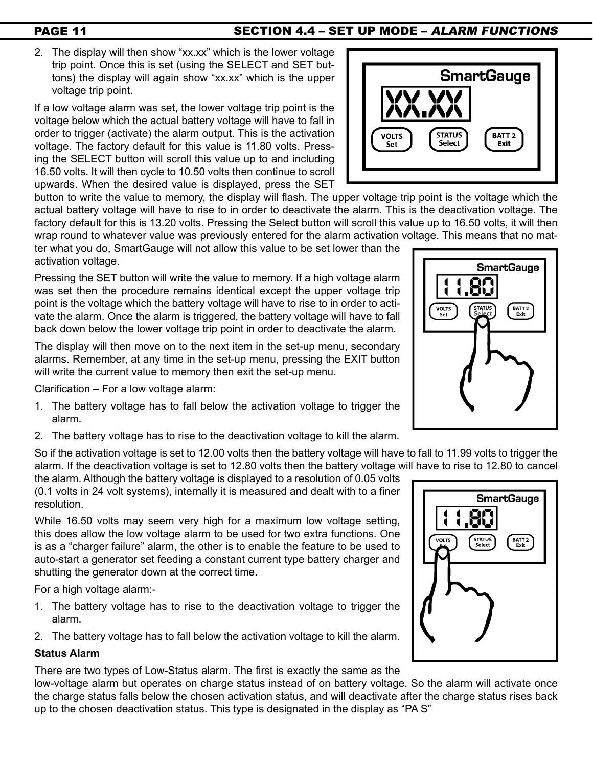# PAGE 11 SECTION 4.4 – SET UP MODE – ALARM FUNCTIONS

2. The display will then show "xx.xx" which is the lower voltage trip point. Once this is set (using the SELECT and SET buttons) the display will again show "xx.xx" which is the upper voltage trip point.

If a low voltage alarm was set, the lower voltage trip point is the voltage below which the actual battery voltage will have to fall in order to trigger (activate) the alarm output. This is the activation voltage. The factory default for this value is 11.80 volts. Pressing the SELECT button will scroll this value up to and including 16.50 volts. It will then cycle to 10.50 volts then continue to scroll upwards. When the desired value is displayed, press the SET

button to write the value to memory, the display will flash. The upper voltage trip point is the voltage which the actual battery voltage will have to rise to in order to deactivate the alarm. This is the deactivation voltage. The factory default for this is 13.20 volts. Pressing the Select button will scroll this value up to 16.50 volts, it will then wrap round to whatever value was previously entered for the alarm activation voltage. This means that no mat-

ter what you do, SmartGauge will not allow this value to be set lower than the activation voltage.

Pressing the SET button will write the value to memory. If a high voltage alarm was set then the procedure remains identical except the upper voltage trip point is the voltage which the battery voltage will have to rise to in order to activate the alarm. Once the alarm is triggered, the battery voltage will have to fall back down below the lower voltage trip point in order to deactivate the alarm.

The display will then move on to the next item in the set-up menu, secondary alarms. Remember, at any time in the set-up menu, pressing the EXIT button will write the current value to memory then exit the set-up menu.

Clarification – For a low voltage alarm:

- 1. The battery voltage has to fall below the activation voltage to trigger the alarm.
- 2. The battery voltage has to rise to the deactivation voltage to kill the alarm.

So if the activation voltage is set to 12.00 volts then the battery voltage will have to fall to 11.99 volts to trigger the alarm. If the deactivation voltage is set to 12.80 volts then the battery voltage will have to rise to 12.80 to cancel

the alarm. Although the battery voltage is displayed to a resolution of 0.05 volts (0.1 volts in 24 volt systems), internally it is measured and dealt with to a finer resolution.

While 16.50 volts may seem very high for a maximum low voltage setting, this does allow the low voltage alarm to be used for two extra functions. One is as a "charger failure" alarm, the other is to enable the feature to be used to auto-start a generator set feeding a constant current type battery charger and shutting the generator down at the correct time.

For a high voltage alarm:-

- 1. The battery voltage has to rise to the deactivation voltage to trigger the alarm.
- 2. The battery voltage has to fall below the activation voltage to kill the alarm.

# **Status Alarm**

There are two types of Low-Status alarm. The first is exactly the same as the

low-voltage alarm but operates on charge status instead of on battery voltage. So the alarm will activate once the charge status falls below the chosen activation status, and will deactivate after the charge status rises back up to the chosen deactivation status. This type is designated in the display as "PA S"





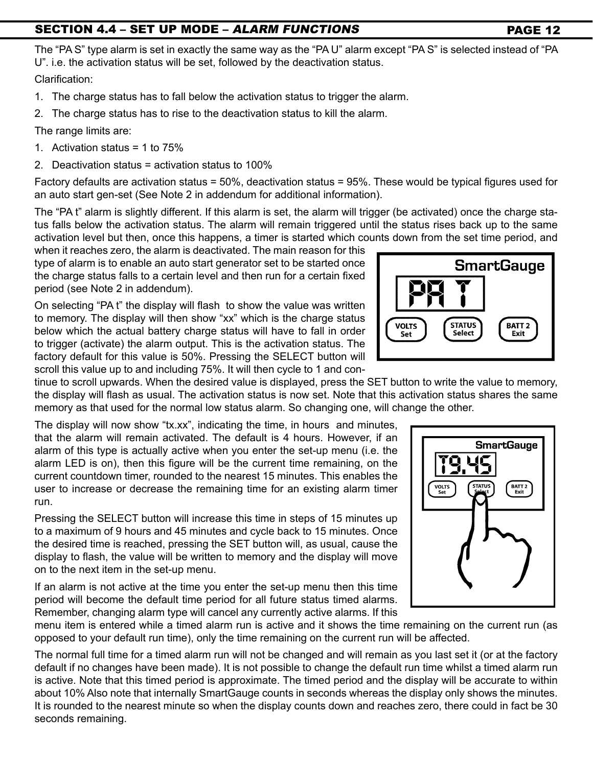# SECTION 4.4 – SET UP MODE – ALARM FUNCTIONS PAGE 12

The "PA S" type alarm is set in exactly the same way as the "PA U" alarm except "PA S" is selected instead of "PA U". i.e. the activation status will be set, followed by the deactivation status.

Clarification:

- 1. The charge status has to fall below the activation status to trigger the alarm.
- 2. The charge status has to rise to the deactivation status to kill the alarm.

The range limits are:

- 1. Activation status = 1 to 75%
- 2. Deactivation status = activation status to 100%

Factory defaults are activation status = 50%, deactivation status = 95%. These would be typical figures used for an auto start gen-set (See Note 2 in addendum for additional information).

The "PA t" alarm is slightly different. If this alarm is set, the alarm will trigger (be activated) once the charge status falls below the activation status. The alarm will remain triggered until the status rises back up to the same activation level but then, once this happens, a timer is started which counts down from the set time period, and

when it reaches zero, the alarm is deactivated. The main reason for this type of alarm is to enable an auto start generator set to be started once the charge status falls to a certain level and then run for a certain fixed period (see Note 2 in addendum).

On selecting "PA t" the display will flash to show the value was written to memory. The display will then show "xx" which is the charge status below which the actual battery charge status will have to fall in order to trigger (activate) the alarm output. This is the activation status. The factory default for this value is 50%. Pressing the SELECT button will scroll this value up to and including 75%. It will then cycle to 1 and con-

tinue to scroll upwards. When the desired value is displayed, press the SET button to write the value to memory, the display will flash as usual. The activation status is now set. Note that this activation status shares the same memory as that used for the normal low status alarm. So changing one, will change the other.

The display will now show "tx.xx", indicating the time, in hours and minutes, that the alarm will remain activated. The default is 4 hours. However, if an alarm of this type is actually active when you enter the set-up menu (i.e. the alarm LED is on), then this figure will be the current time remaining, on the current countdown timer, rounded to the nearest 15 minutes. This enables the user to increase or decrease the remaining time for an existing alarm timer run.

Pressing the SELECT button will increase this time in steps of 15 minutes up to a maximum of 9 hours and 45 minutes and cycle back to 15 minutes. Once the desired time is reached, pressing the SET button will, as usual, cause the display to flash, the value will be written to memory and the display will move on to the next item in the set-up menu.

If an alarm is not active at the time you enter the set-up menu then this time period will become the default time period for all future status timed alarms. Remember, changing alarm type will cancel any currently active alarms. If this

menu item is entered while a timed alarm run is active and it shows the time remaining on the current run (as opposed to your default run time), only the time remaining on the current run will be affected.

The normal full time for a timed alarm run will not be changed and will remain as you last set it (or at the factory default if no changes have been made). It is not possible to change the default run time whilst a timed alarm run is active. Note that this timed period is approximate. The timed period and the display will be accurate to within about 10% Also note that internally SmartGauge counts in seconds whereas the display only shows the minutes. It is rounded to the nearest minute so when the display counts down and reaches zero, there could in fact be 30 seconds remaining.



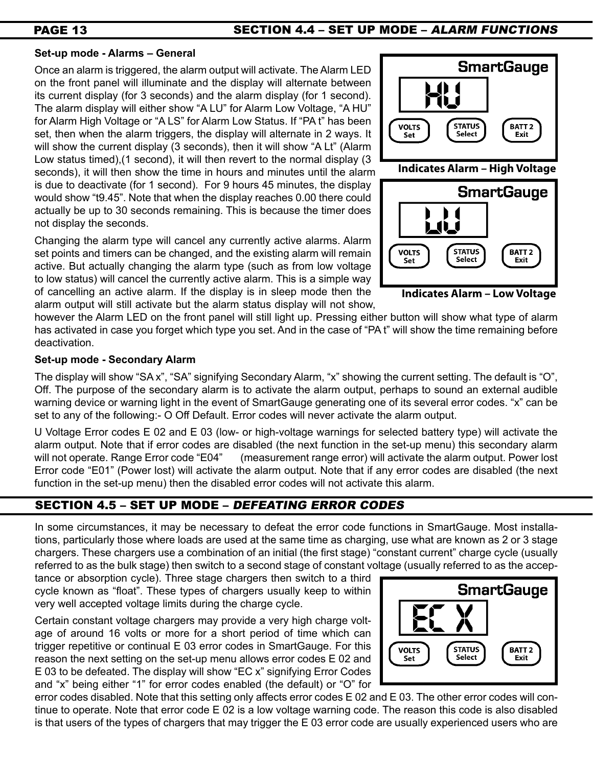# PAGE 13 SECTION 4.4 – SET UP MODE – ALARM FUNCTIONS

# **Set-up mode - Alarms – General**

Once an alarm is triggered, the alarm output will activate. The Alarm LED on the front panel will illuminate and the display will alternate between its current display (for 3 seconds) and the alarm display (for 1 second). The alarm display will either show "A LU" for Alarm Low Voltage, "A HU" for Alarm High Voltage or "A LS" for Alarm Low Status. If "PA t" has been set, then when the alarm triggers, the display will alternate in 2 ways. It will show the current display (3 seconds), then it will show "A Lt" (Alarm Low status timed),(1 second), it will then revert to the normal display (3 seconds), it will then show the time in hours and minutes until the alarm is due to deactivate (for 1 second). For 9 hours 45 minutes, the display would show "t9.45". Note that when the display reaches 0.00 there could actually be up to 30 seconds remaining. This is because the timer does not display the seconds.

Changing the alarm type will cancel any currently active alarms. Alarm set points and timers can be changed, and the existing alarm will remain active. But actually changing the alarm type (such as from low voltage to low status) will cancel the currently active alarm. This is a simple way of cancelling an active alarm. If the display is in sleep mode then the alarm output will still activate but the alarm status display will not show,



**Indicates Alarm – Low Voltage**

however the Alarm LED on the front panel will still light up. Pressing either button will show what type of alarm has activated in case you forget which type you set. And in the case of "PA t" will show the time remaining before deactivation.

# **Set-up mode - Secondary Alarm**

The display will show "SA x", "SA" signifying Secondary Alarm, "x" showing the current setting. The default is "O", Off. The purpose of the secondary alarm is to activate the alarm output, perhaps to sound an external audible warning device or warning light in the event of SmartGauge generating one of its several error codes. "x" can be set to any of the following:- O Off Default. Error codes will never activate the alarm output.

U Voltage Error codes E 02 and E 03 (low- or high-voltage warnings for selected battery type) will activate the alarm output. Note that if error codes are disabled (the next function in the set-up menu) this secondary alarm will not operate. Range Error code "E04" (measurement range error) will activate the alarm output. Power lost Error code "E01" (Power lost) will activate the alarm output. Note that if any error codes are disabled (the next function in the set-up menu) then the disabled error codes will not activate this alarm.

# SECTION 4.5 – SET UP MODE – Defeating error codes

In some circumstances, it may be necessary to defeat the error code functions in SmartGauge. Most installations, particularly those where loads are used at the same time as charging, use what are known as 2 or 3 stage chargers. These chargers use a combination of an initial (the first stage) "constant current" charge cycle (usually referred to as the bulk stage) then switch to a second stage of constant voltage (usually referred to as the accep-

tance or absorption cycle). Three stage chargers then switch to a third cycle known as "float". These types of chargers usually keep to within very well accepted voltage limits during the charge cycle.

Certain constant voltage chargers may provide a very high charge voltage of around 16 volts or more for a short period of time which can trigger repetitive or continual E 03 error codes in SmartGauge. For this reason the next setting on the set-up menu allows error codes E 02 and E 03 to be defeated. The display will show "EC x" signifying Error Codes and "x" being either "1" for error codes enabled (the default) or "O" for



error codes disabled. Note that this setting only affects error codes E 02 and E 03. The other error codes will continue to operate. Note that error code E 02 is a low voltage warning code. The reason this code is also disabled is that users of the types of chargers that may trigger the E 03 error code are usually experienced users who are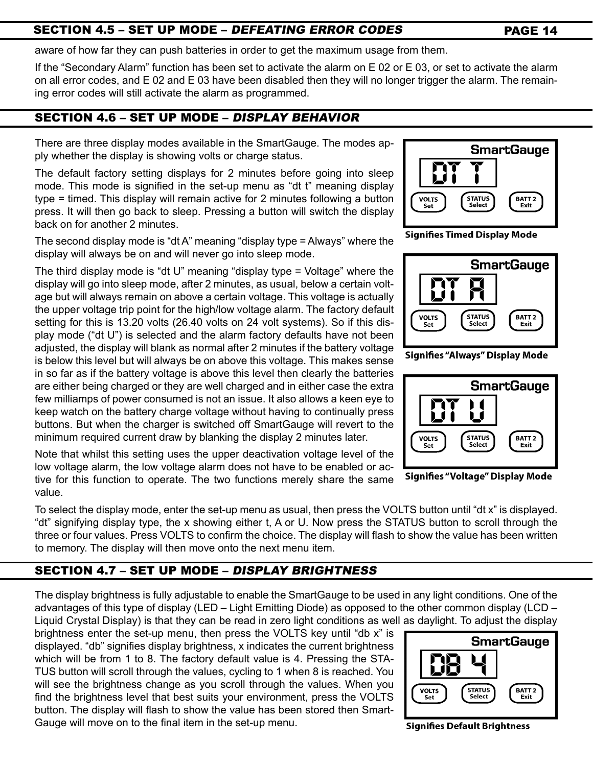# SECTION 4.5 – SET UP MODE – *DEFEATING ERROR CODES* PAGE 14

aware of how far they can push batteries in order to get the maximum usage from them.

If the "Secondary Alarm" function has been set to activate the alarm on E 02 or E 03, or set to activate the alarm on all error codes, and E 02 and E 03 have been disabled then they will no longer trigger the alarm. The remaining error codes will still activate the alarm as programmed.

# SECTION 4.6 – SET UP MODE – Display behavior

There are three display modes available in the SmartGauge. The modes apply whether the display is showing volts or charge status.

The default factory setting displays for 2 minutes before going into sleep mode. This mode is signified in the set-up menu as "dt t" meaning display type = timed. This display will remain active for 2 minutes following a button press. It will then go back to sleep. Pressing a button will switch the display back on for another 2 minutes.

The second display mode is "dt A" meaning "display type = Always" where the display will always be on and will never go into sleep mode.

The third display mode is "dt U" meaning "display type = Voltage" where the display will go into sleep mode, after 2 minutes, as usual, below a certain voltage but will always remain on above a certain voltage. This voltage is actually the upper voltage trip point for the high/low voltage alarm. The factory default setting for this is 13.20 volts (26.40 volts on 24 volt systems). So if this display mode ("dt U") is selected and the alarm factory defaults have not been adjusted, the display will blank as normal after 2 minutes if the battery voltage is below this level but will always be on above this voltage. This makes sense in so far as if the battery voltage is above this level then clearly the batteries are either being charged or they are well charged and in either case the extra few milliamps of power consumed is not an issue. It also allows a keen eye to keep watch on the battery charge voltage without having to continually press buttons. But when the charger is switched off SmartGauge will revert to the minimum required current draw by blanking the display 2 minutes later.

Note that whilst this setting uses the upper deactivation voltage level of the low voltage alarm, the low voltage alarm does not have to be enabled or active for this function to operate. The two functions merely share the same value.

To select the display mode, enter the set-up menu as usual, then press the VOLTS button until "dt x" is displayed. "dt" signifying display type, the x showing either t, A or U. Now press the STATUS button to scroll through the three or four values. Press VOLTS to confirm the choice. The display will flash to show the value has been written to memory. The display will then move onto the next menu item.

# SECTION 4.7 – SET UP MODE – Display brightness

The display brightness is fully adjustable to enable the SmartGauge to be used in any light conditions. One of the advantages of this type of display (LED – Light Emitting Diode) as opposed to the other common display (LCD – Liquid Crystal Display) is that they can be read in zero light conditions as well as daylight. To adjust the display

brightness enter the set-up menu, then press the VOLTS key until "db x" is displayed. "db" signifies display brightness, x indicates the current brightness which will be from 1 to 8. The factory default value is 4. Pressing the STA-TUS button will scroll through the values, cycling to 1 when 8 is reached. You will see the brightness change as you scroll through the values. When you find the brightness level that best suits your environment, press the VOLTS button. The display will flash to show the value has been stored then Smart-Gauge will move on to the final item in the set-up menu.



**Signifies Timed Display Mode** 



**Signifies "Always" Display Mode** 



**Signifies "Voltage" Display Mode** 



**Signifies Default Brightness**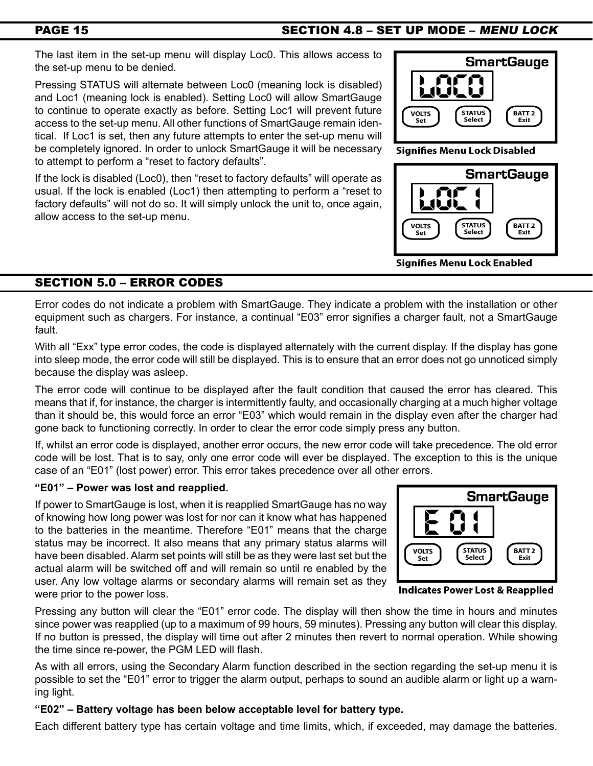# PAGE 15

# SECTION 4.8 – SET UP MODE – menu lock

The last item in the set-up menu will display Loc0. This allows access to the set-up menu to be denied.

Pressing STATUS will alternate between Loc0 (meaning lock is disabled) and Loc1 (meaning lock is enabled). Setting Loc0 will allow SmartGauge to continue to operate exactly as before. Setting Loc1 will prevent future access to the set-up menu. All other functions of SmartGauge remain identical. If Loc1 is set, then any future attempts to enter the set-up menu will be completely ignored. In order to unlock SmartGauge it will be necessary to attempt to perform a "reset to factory defaults".

If the lock is disabled (Loc0), then "reset to factory defaults" will operate as usual. If the lock is enabled (Loc1) then attempting to perform a "reset to factory defaults" will not do so. It will simply unlock the unit to, once again, allow access to the set-up menu.



**Signifies Menu Lock Disabled** 



Signifies Menu Lock Enabled

# SECTION 5.0 – error codes

Error codes do not indicate a problem with SmartGauge. They indicate a problem with the installation or other equipment such as chargers. For instance, a continual "E03" error signifies a charger fault, not a SmartGauge fault.

With all "Exx" type error codes, the code is displayed alternately with the current display. If the display has gone into sleep mode, the error code will still be displayed. This is to ensure that an error does not go unnoticed simply because the display was asleep.

The error code will continue to be displayed after the fault condition that caused the error has cleared. This means that if, for instance, the charger is intermittently faulty, and occasionally charging at a much higher voltage than it should be, this would force an error "E03" which would remain in the display even after the charger had gone back to functioning correctly. In order to clear the error code simply press any button.

If, whilst an error code is displayed, another error occurs, the new error code will take precedence. The old error code will be lost. That is to say, only one error code will ever be displayed. The exception to this is the unique case of an "E01" (lost power) error. This error takes precedence over all other errors.

# **"E01" – Power was lost and reapplied.**

If power to SmartGauge is lost, when it is reapplied SmartGauge has no way of knowing how long power was lost for nor can it know what has happened to the batteries in the meantime. Therefore "E01" means that the charge status may be incorrect. It also means that any primary status alarms will have been disabled. Alarm set points will still be as they were last set but the actual alarm will be switched off and will remain so until re enabled by the user. Any low voltage alarms or secondary alarms will remain set as they were prior to the power loss.



**Indicates Power Lost & Reapplied** 

Pressing any button will clear the "E01" error code. The display will then show the time in hours and minutes since power was reapplied (up to a maximum of 99 hours, 59 minutes). Pressing any button will clear this display. If no button is pressed, the display will time out after 2 minutes then revert to normal operation. While showing the time since re-power, the PGM LED will flash.

As with all errors, using the Secondary Alarm function described in the section regarding the set-up menu it is possible to set the "E01" error to trigger the alarm output, perhaps to sound an audible alarm or light up a warning light.

# **"E02" – Battery voltage has been below acceptable level for battery type.**

Each different battery type has certain voltage and time limits, which, if exceeded, may damage the batteries.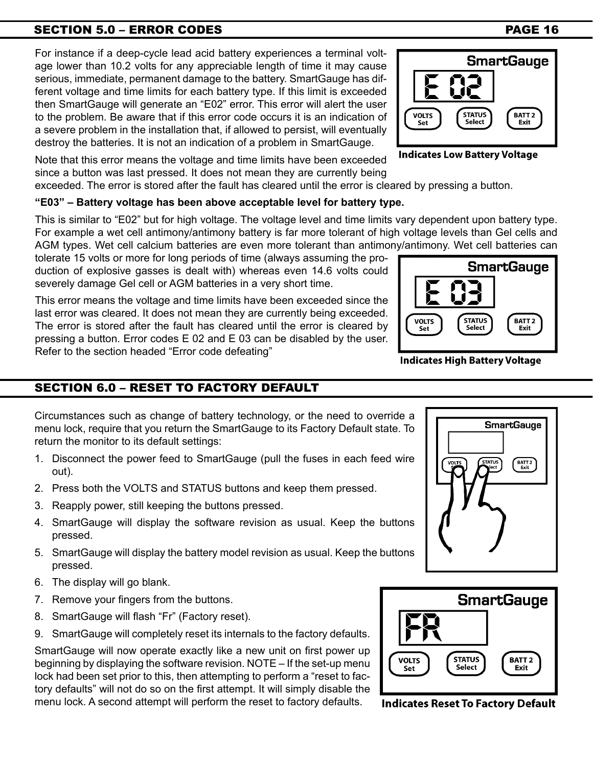# SECTION 5.0 – ERROR CODES **PAGE 16**

For instance if a deep-cycle lead acid battery experiences a terminal voltage lower than 10.2 volts for any appreciable length of time it may cause serious, immediate, permanent damage to the battery. SmartGauge has different voltage and time limits for each battery type. If this limit is exceeded then SmartGauge will generate an "E02" error. This error will alert the user to the problem. Be aware that if this error code occurs it is an indication of a severe problem in the installation that, if allowed to persist, will eventually destroy the batteries. It is not an indication of a problem in SmartGauge.

Note that this error means the voltage and time limits have been exceeded since a button was last pressed. It does not mean they are currently being exceeded. The error is stored after the fault has cleared until the error is cleared by pressing a button.

# **"E03" – Battery voltage has been above acceptable level for battery type.**

This is similar to "E02" but for high voltage. The voltage level and time limits vary dependent upon battery type. For example a wet cell antimony/antimony battery is far more tolerant of high voltage levels than Gel cells and AGM types. Wet cell calcium batteries are even more tolerant than antimon

tolerate 15 volts or more for long periods of time (always assuming the production of explosive gasses is dealt with) whereas even 14.6 volts could severely damage Gel cell or AGM batteries in a very short time.

This error means the voltage and time limits have been exceeded since the last error was cleared. It does not mean they are currently being exceeded. The error is stored after the fault has cleared until the error is cleared by pressing a button. Error codes E 02 and E 03 can be disabled by the user. Refer to the section headed "Error code defeating"

# SECTION 6.0 – reset to factory default

Circumstances such as change of battery technology, or the need to override a menu lock, require that you return the SmartGauge to its Factory Default state. To return the monitor to its default settings:

- 1. Disconnect the power feed to SmartGauge (pull the fuses in each feed wire out).
- 2. Press both the VOLTS and STATUS buttons and keep them pressed.
- 3. Reapply power, still keeping the buttons pressed.
- 4. SmartGauge will display the software revision as usual. Keep the buttons pressed.
- 5. SmartGauge will display the battery model revision as usual. Keep the buttons pressed.
- 6. The display will go blank.
- 7. Remove your fingers from the buttons.
- 8. SmartGauge will flash "Fr" (Factory reset).
- 9. SmartGauge will completely reset its internals to the factory defaults.

SmartGauge will now operate exactly like a new unit on first power up beginning by displaying the software revision. NOTE – If the set-up menu lock had been set prior to this, then attempting to perform a "reset to factory defaults" will not do so on the first attempt. It will simply disable the menu lock. A second attempt will perform the reset to factory defaults.

**Indicates Reset To Factory Default** 



| iy/antimony. Wet cell batteries can |                                |                      |
|-------------------------------------|--------------------------------|----------------------|
| <b>SmartGauge</b>                   |                                |                      |
|                                     |                                |                      |
|                                     |                                |                      |
| <b>VOLTS</b><br>Set                 | <b>STATUS</b><br><b>Select</b> | <b>BATT2</b><br>Exit |
|                                     |                                |                      |

**Indicates High Battery Voltage** 

**Indicates Low Battery Voltage** 

**STATUS** 

**Select** 

**VOLTS** 





BATT 2

Exit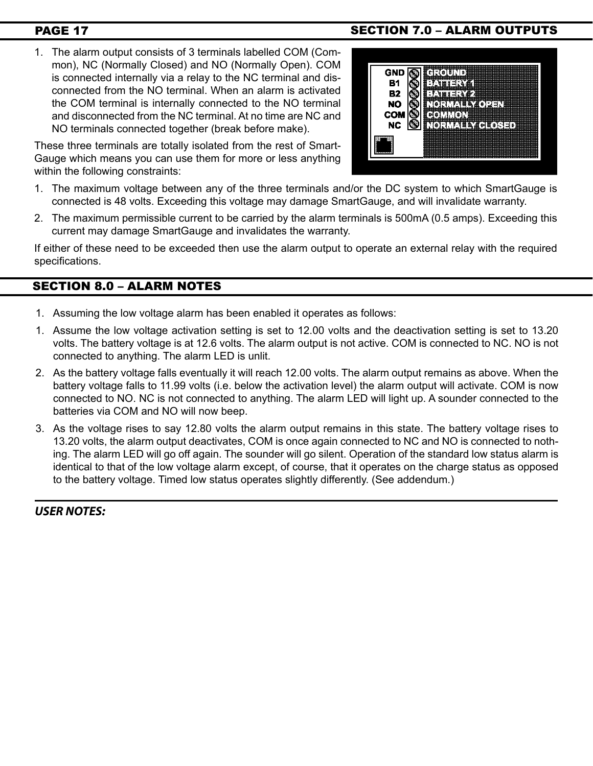1. The alarm output consists of 3 terminals labelled COM (Common), NC (Normally Closed) and NO (Normally Open). COM is connected internally via a relay to the NC terminal and disconnected from the NO terminal. When an alarm is activated the COM terminal is internally connected to the NO terminal and disconnected from the NC terminal. At no time are NC and NO terminals connected together (break before make).

These three terminals are totally isolated from the rest of Smart-Gauge which means you can use them for more or less anything within the following constraints:

- 1. The maximum voltage between any of the three terminals and/or the DC system to which SmartGauge is connected is 48 volts. Exceeding this voltage may damage SmartGauge, and will invalidate warranty.
- 2. The maximum permissible current to be carried by the alarm terminals is 500mA (0.5 amps). Exceeding this current may damage SmartGauge and invalidates the warranty.

If either of these need to be exceeded then use the alarm output to operate an external relay with the required specifications.

# SECTION 8.0 – alarm notes

- 1. Assuming the low voltage alarm has been enabled it operates as follows:
- 1. Assume the low voltage activation setting is set to 12.00 volts and the deactivation setting is set to 13.20 volts. The battery voltage is at 12.6 volts. The alarm output is not active. COM is connected to NC. NO is not connected to anything. The alarm LED is unlit.
- 2. As the battery voltage falls eventually it will reach 12.00 volts. The alarm output remains as above. When the battery voltage falls to 11.99 volts (i.e. below the activation level) the alarm output will activate. COM is now connected to NO. NC is not connected to anything. The alarm LED will light up. A sounder connected to the batteries via COM and NO will now beep.
- 3. As the voltage rises to say 12.80 volts the alarm output remains in this state. The battery voltage rises to 13.20 volts, the alarm output deactivates, COM is once again connected to NC and NO is connected to nothing. The alarm LED will go off again. The sounder will go silent. Operation of the standard low status alarm is identical to that of the low voltage alarm except, of course, that it operates on the charge status as opposed to the battery voltage. Timed low status operates slightly differently. (See addendum.)

*USER NOTES:*

# PAGE 17 SECTION 7.0 – ALARM OUTPUTS

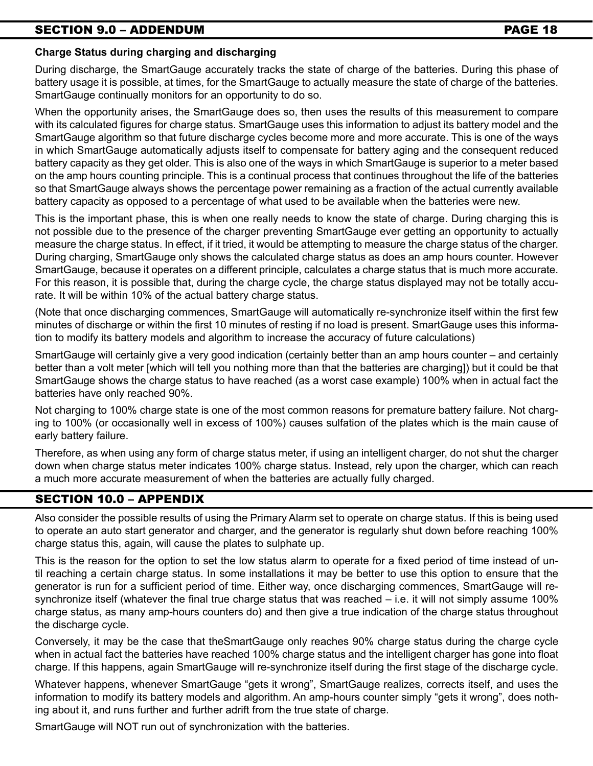# SECTION 9.0 – ADDENDUM PAGE 18

### **Charge Status during charging and discharging**

During discharge, the SmartGauge accurately tracks the state of charge of the batteries. During this phase of battery usage it is possible, at times, for the SmartGauge to actually measure the state of charge of the batteries. SmartGauge continually monitors for an opportunity to do so.

When the opportunity arises, the SmartGauge does so, then uses the results of this measurement to compare with its calculated figures for charge status. SmartGauge uses this information to adjust its battery model and the SmartGauge algorithm so that future discharge cycles become more and more accurate. This is one of the ways in which SmartGauge automatically adjusts itself to compensate for battery aging and the consequent reduced battery capacity as they get older. This is also one of the ways in which SmartGauge is superior to a meter based on the amp hours counting principle. This is a continual process that continues throughout the life of the batteries so that SmartGauge always shows the percentage power remaining as a fraction of the actual currently available battery capacity as opposed to a percentage of what used to be available when the batteries were new.

This is the important phase, this is when one really needs to know the state of charge. During charging this is not possible due to the presence of the charger preventing SmartGauge ever getting an opportunity to actually measure the charge status. In effect, if it tried, it would be attempting to measure the charge status of the charger. During charging, SmartGauge only shows the calculated charge status as does an amp hours counter. However SmartGauge, because it operates on a different principle, calculates a charge status that is much more accurate. For this reason, it is possible that, during the charge cycle, the charge status displayed may not be totally accurate. It will be within 10% of the actual battery charge status.

(Note that once discharging commences, SmartGauge will automatically re-synchronize itself within the first few minutes of discharge or within the first 10 minutes of resting if no load is present. SmartGauge uses this information to modify its battery models and algorithm to increase the accuracy of future calculations)

SmartGauge will certainly give a very good indication (certainly better than an amp hours counter – and certainly better than a volt meter [which will tell you nothing more than that the batteries are charging]) but it could be that SmartGauge shows the charge status to have reached (as a worst case example) 100% when in actual fact the batteries have only reached 90%.

Not charging to 100% charge state is one of the most common reasons for premature battery failure. Not charging to 100% (or occasionally well in excess of 100%) causes sulfation of the plates which is the main cause of early battery failure.

Therefore, as when using any form of charge status meter, if using an intelligent charger, do not shut the charger down when charge status meter indicates 100% charge status. Instead, rely upon the charger, which can reach a much more accurate measurement of when the batteries are actually fully charged.

# SECTION 10.0 – appendix

Also consider the possible results of using the Primary Alarm set to operate on charge status. If this is being used to operate an auto start generator and charger, and the generator is regularly shut down before reaching 100% charge status this, again, will cause the plates to sulphate up.

This is the reason for the option to set the low status alarm to operate for a fixed period of time instead of until reaching a certain charge status. In some installations it may be better to use this option to ensure that the generator is run for a sufficient period of time. Either way, once discharging commences, SmartGauge will resynchronize itself (whatever the final true charge status that was reached – i.e. it will not simply assume 100% charge status, as many amp-hours counters do) and then give a true indication of the charge status throughout the discharge cycle.

Conversely, it may be the case that theSmartGauge only reaches 90% charge status during the charge cycle when in actual fact the batteries have reached 100% charge status and the intelligent charger has gone into float charge. If this happens, again SmartGauge will re-synchronize itself during the first stage of the discharge cycle.

Whatever happens, whenever SmartGauge "gets it wrong", SmartGauge realizes, corrects itself, and uses the information to modify its battery models and algorithm. An amp-hours counter simply "gets it wrong", does nothing about it, and runs further and further adrift from the true state of charge.

SmartGauge will NOT run out of synchronization with the batteries.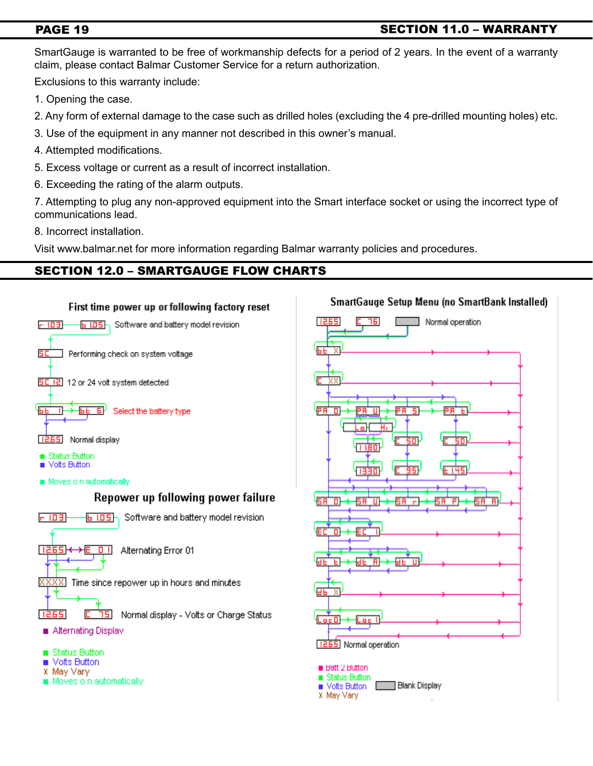# PAGE 19

# SECTION 11.0 – warranty

SmartGauge is warranted to be free of workmanship defects for a period of 2 years. In the event of a warranty claim, please contact Balmar Customer Service for a return authorization.

Exclusions to this warranty include:

- 1. Opening the case.
- 2. Any form of external damage to the case such as drilled holes (excluding the 4 pre-drilled mounting holes) etc.
- 3. Use of the equipment in any manner not described in this owner's manual.
- 4. Attempted modifications.
- 5. Excess voltage or current as a result of incorrect installation.
- 6. Exceeding the rating of the alarm outputs.

7. Attempting to plug any non-approved equipment into the Smart interface socket or using the incorrect type of communications lead.

8. Incorrect installation.

Visit www.balmar.net for more information regarding Balmar warranty policies and procedures.

# SECTION 12.0 – Smartgauge flow charts